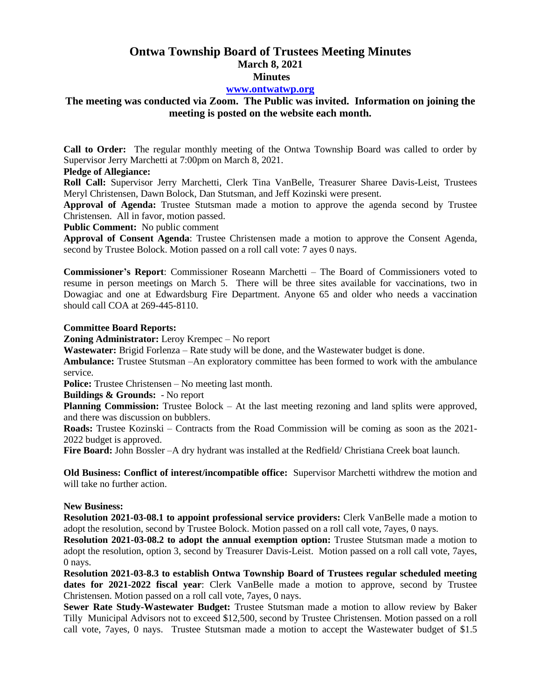# **Ontwa Township Board of Trustees Meeting Minutes March 8, 2021 Minutes**

### **[www.ontwatwp.org](http://www.ontwatwp.org/)**

## **The meeting was conducted via Zoom. The Public was invited. Information on joining the meeting is posted on the website each month.**

**Call to Order:** The regular monthly meeting of the Ontwa Township Board was called to order by Supervisor Jerry Marchetti at 7:00pm on March 8, 2021.

#### **Pledge of Allegiance:**

**Roll Call:** Supervisor Jerry Marchetti, Clerk Tina VanBelle, Treasurer Sharee Davis-Leist, Trustees Meryl Christensen, Dawn Bolock, Dan Stutsman, and Jeff Kozinski were present.

**Approval of Agenda:** Trustee Stutsman made a motion to approve the agenda second by Trustee Christensen. All in favor, motion passed.

**Public Comment:** No public comment

**Approval of Consent Agenda**: Trustee Christensen made a motion to approve the Consent Agenda, second by Trustee Bolock. Motion passed on a roll call vote: 7 ayes 0 nays.

**Commissioner's Report**: Commissioner Roseann Marchetti – The Board of Commissioners voted to resume in person meetings on March 5. There will be three sites available for vaccinations, two in Dowagiac and one at Edwardsburg Fire Department. Anyone 65 and older who needs a vaccination should call COA at 269-445-8110.

#### **Committee Board Reports:**

**Zoning Administrator:** Leroy Krempec – No report

**Wastewater:** Brigid Forlenza – Rate study will be done, and the Wastewater budget is done.

**Ambulance:** Trustee Stutsman –An exploratory committee has been formed to work with the ambulance service.

**Police:** Trustee Christensen – No meeting last month.

**Buildings & Grounds:** - No report

**Planning Commission:** Trustee Bolock – At the last meeting rezoning and land splits were approved, and there was discussion on bubblers.

**Roads:** Trustee Kozinski – Contracts from the Road Commission will be coming as soon as the 2021- 2022 budget is approved.

**Fire Board:** John Bossler –A dry hydrant was installed at the Redfield/ Christiana Creek boat launch.

**Old Business: Conflict of interest/incompatible office:** Supervisor Marchetti withdrew the motion and will take no further action.

#### **New Business:**

**Resolution 2021-03-08.1 to appoint professional service providers:** Clerk VanBelle made a motion to adopt the resolution, second by Trustee Bolock. Motion passed on a roll call vote, 7ayes, 0 nays.

**Resolution 2021-03-08.2 to adopt the annual exemption option:** Trustee Stutsman made a motion to adopt the resolution, option 3, second by Treasurer Davis-Leist. Motion passed on a roll call vote, 7ayes, 0 nays.

**Resolution 2021-03-8.3 to establish Ontwa Township Board of Trustees regular scheduled meeting dates for 2021-2022 fiscal year**: Clerk VanBelle made a motion to approve, second by Trustee Christensen. Motion passed on a roll call vote, 7ayes, 0 nays.

**Sewer Rate Study-Wastewater Budget:** Trustee Stutsman made a motion to allow review by Baker Tilly Municipal Advisors not to exceed \$12,500, second by Trustee Christensen. Motion passed on a roll call vote, 7ayes, 0 nays. Trustee Stutsman made a motion to accept the Wastewater budget of \$1.5